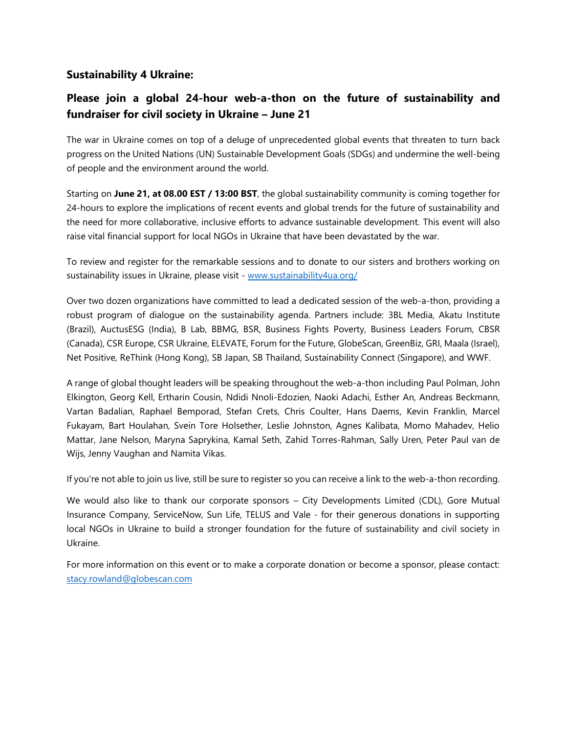# **Sustainability 4 Ukraine:**

# **Please join a global 24-hour web-a-thon on the future of sustainability and fundraiser for civil society in Ukraine – June 21**

The war in Ukraine comes on top of a deluge of unprecedented global events that threaten to turn back progress on the United Nations (UN) Sustainable Development Goals (SDGs) and undermine the well-being of people and the environment around the world.

Starting on **June 21, at 08.00 EST / 13:00 BST**, the global sustainability community is coming together for 24-hours to explore the implications of recent events and global trends for the future of sustainability and the need for more collaborative, inclusive efforts to advance sustainable development. This event will also raise vital financial support for local NGOs in Ukraine that have been devastated by the war.

To review and register for the remarkable sessions and to donate to our sisters and brothers working on sustainability issues in Ukraine, please visit - [www.sustainability4ua.org/](http://www.sustainability4ua.org/)

Over two dozen organizations have committed to lead a dedicated session of the web-a-thon, providing a robust program of dialogue on the sustainability agenda. Partners include: 3BL Media, Akatu Institute (Brazil), AuctusESG (India), B Lab, BBMG, BSR, Business Fights Poverty, Business Leaders Forum, CBSR (Canada), CSR Europe, CSR Ukraine, ELEVATE, Forum for the Future, GlobeScan, GreenBiz, GRI, Maala (Israel), Net Positive, ReThink (Hong Kong), SB Japan, SB Thailand, Sustainability Connect (Singapore), and WWF.

A range of global thought leaders will be speaking throughout the web-a-thon including Paul Polman, John Elkington, Georg Kell, Ertharin Cousin, Ndidi Nnoli-Edozien, Naoki Adachi, Esther An, Andreas Beckmann, Vartan Badalian, Raphael Bemporad, Stefan Crets, Chris Coulter, Hans Daems, Kevin Franklin, Marcel Fukayam, Bart Houlahan, Svein Tore Holsether, Leslie Johnston, Agnes Kalibata, Momo Mahadev, Helio Mattar, Jane Nelson, Maryna Saprykina, Kamal Seth, Zahid Torres-Rahman, Sally Uren, Peter Paul van de Wijs, Jenny Vaughan and Namita Vikas.

If you're not able to join us live, still be sure to register so you can receive a link to the web-a-thon recording.

We would also like to thank our corporate sponsors – City Developments Limited (CDL), Gore Mutual Insurance Company, ServiceNow, Sun Life, TELUS and Vale - for their generous donations in supporting local NGOs in Ukraine to build a stronger foundation for the future of sustainability and civil society in Ukraine.

For more information on this event or to make a corporate donation or become a sponsor, please contact: [stacy.rowland@globescan.com](mailto:stacy.rowland@globescan.com)